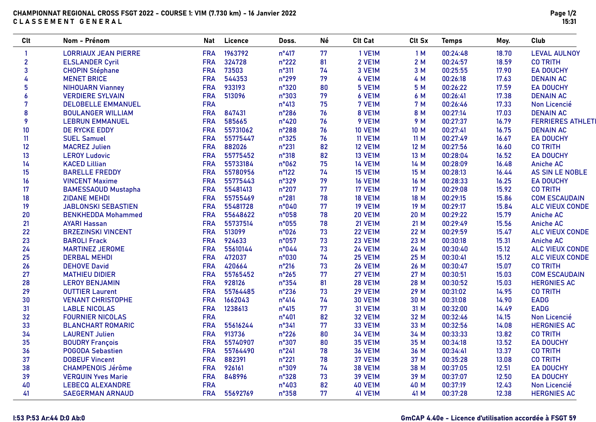| <b>Clt</b>       | Nom - Prénom                | <b>Nat</b> | Licence  | Doss.          | Né | <b>Clt Cat</b> | Clt Sx | <b>Temps</b> | Moy.  | Club                     |
|------------------|-----------------------------|------------|----------|----------------|----|----------------|--------|--------------|-------|--------------------------|
| $\overline{1}$   | <b>LORRIAUX JEAN PIERRE</b> | <b>FRA</b> | 1963792  | $n^{\circ}417$ | 77 | 1 VE1M         | 1M     | 00:24:48     | 18.70 | <b>LEVAL AULNOY</b>      |
| $\mathbf{2}$     | <b>ELSLANDER Cyril</b>      | <b>FRA</b> | 324728   | $n^{\circ}222$ | 81 | 2 VE1M         | 2M     | 00:24:57     | 18.59 | <b>CO TRITH</b>          |
| $\mathbf{3}$     | <b>CHOPIN Stéphane</b>      | <b>FRA</b> | 73503    | n°311          | 74 | 3 VE1M         | 3 M    | 00:25:55     | 17.90 | <b>EA DOUCHY</b>         |
| 4                | <b>MENET BRICE</b>          | <b>FRA</b> | 544353   | n°299          | 79 | 4 VE1M         | 4 M    | 00:26:18     | 17.63 | <b>DENAIN AC</b>         |
| $5\phantom{a}$   | <b>NIHOUARN Vianney</b>     | <b>FRA</b> | 933193   | n°320          | 80 | 5 VE1M         | 5 M    | 00:26:22     | 17.59 | <b>EA DOUCHY</b>         |
| $\boldsymbol{6}$ | <b>VERDIERE SYLVAIN</b>     | <b>FRA</b> | 513096   | n°303          | 79 | 6 VE1M         | 6 M    | 00:26:41     | 17.38 | <b>DENAIN AC</b>         |
| $\overline{7}$   | <b>DELOBELLE EMMANUEL</b>   | <b>FRA</b> |          | $n^{\circ}413$ | 75 | 7 VE1M         | 7 M    | 00:26:46     | 17.33 | Non Licencié             |
| 8                | <b>BOULANGER WILLIAM</b>    | <b>FRA</b> | 847431   | n°286          | 76 | 8 VE1M         | 8 M    | 00:27:14     | 17.03 | <b>DENAIN AC</b>         |
| 9                | <b>LEBRUN EMMANUEL</b>      | <b>FRA</b> | 585665   | $n^{\circ}420$ | 76 | 9 VE1M         | 9 M    | 00:27:37     | 16.79 | <b>FERRIERES ATHLETI</b> |
| 10               | <b>DE RYCKE EDDY</b>        | <b>FRA</b> | 55731062 | n°288          | 76 | <b>10 VE1M</b> | 10 M   | 00:27:41     | 16.75 | <b>DENAIN AC</b>         |
| 11               | <b>SUEL Samuel</b>          | <b>FRA</b> | 55775447 | $n^{\circ}325$ | 76 | <b>11 VE1M</b> | 11 M   | 00:27:49     | 16.67 | <b>EA DOUCHY</b>         |
| 12               | <b>MACREZ Julien</b>        | <b>FRA</b> | 882026   | n°231          | 82 | <b>12 VE1M</b> | 12 M   | 00:27:56     | 16.60 | <b>CO TRITH</b>          |
| 13               | <b>LEROY Ludovic</b>        | <b>FRA</b> | 55775452 | n°318          | 82 | <b>13 VE1M</b> | 13 M   | 00:28:04     | 16.52 | <b>EA DOUCHY</b>         |
| 14               | <b>KACED Lillian</b>        | <b>FRA</b> | 55733184 | n°062          | 75 | <b>14 VE1M</b> | 14 M   | 00:28:09     | 16.48 | <b>Aniche AC</b>         |
| 15               | <b>BARELLE FREDDY</b>       | <b>FRA</b> | 55780956 | $n^{\circ}122$ | 74 | <b>15 VE1M</b> | 15 M   | 00:28:13     | 16.44 | <b>AS SIN LE NOBLE</b>   |
| 16               | <b>VINCENT Maxime</b>       | <b>FRA</b> | 55775443 | n°329          | 79 | <b>16 VE1M</b> | 16 M   | 00:28:33     | 16.25 | <b>EA DOUCHY</b>         |
| 17               | <b>BAMESSAOUD Mustapha</b>  | <b>FRA</b> | 55481413 | $n^{\circ}207$ | 77 | <b>17 VE1M</b> | 17 M   | 00:29:08     | 15.92 | <b>CO TRITH</b>          |
| 18               | <b>ZIDANE MEHDI</b>         | <b>FRA</b> | 55755469 | $n^{\circ}281$ | 78 | <b>18 VE1M</b> | 18 M   | 00:29:15     | 15.86 | <b>COM ESCAUDAIN</b>     |
| 19               | <b>JABLONSKI SEBASTIEN</b>  | <b>FRA</b> | 55481728 | n°040          | 77 | <b>19 VE1M</b> | 19 M   | 00:29:17     | 15.84 | <b>ALC VIEUX CONDE</b>   |
| 20               | <b>BENKHEDDA Mohammed</b>   | <b>FRA</b> | 55648622 | n°058          | 78 | <b>20 VE1M</b> | 20 M   | 00:29:22     | 15.79 | <b>Aniche AC</b>         |
| 21               | <b>AYARI Hassan</b>         | <b>FRA</b> | 55737514 | n°055          | 78 | <b>21 VE1M</b> | 21 M   | 00:29:49     | 15.56 | <b>Aniche AC</b>         |
| 22               | <b>BRZEZINSKI VINCENT</b>   | <b>FRA</b> | 513099   | n°026          | 73 | <b>22 VE1M</b> | 22 M   | 00:29:59     | 15.47 | <b>ALC VIEUX CONDE</b>   |
| 23               | <b>BAROLI Frack</b>         | <b>FRA</b> | 924633   | n°057          | 73 | <b>23 VE1M</b> | 23 M   | 00:30:18     | 15.31 | <b>Aniche AC</b>         |
| 24               | <b>MARTINEZ JEROME</b>      | <b>FRA</b> | 55610144 | n°044          | 73 | <b>24 VE1M</b> | 24 M   | 00:30:40     | 15.12 | <b>ALC VIEUX CONDE</b>   |
| 25               | <b>DERBAL MEHDI</b>         | <b>FRA</b> | 472037   | n°030          | 74 | <b>25 VE1M</b> | 25 M   | 00:30:41     | 15.12 | <b>ALC VIEUX CONDE</b>   |
| 26               | <b>DEHOVE David</b>         | <b>FRA</b> | 420664   | $n^{\circ}216$ | 73 | <b>26 VE1M</b> | 26 M   | 00:30:47     | 15.07 | <b>CO TRITH</b>          |
| 27               | <b>MATHIEU DIDIER</b>       | <b>FRA</b> | 55765452 | $n^{\circ}265$ | 77 | <b>27 VE1M</b> | 27 M   | 00:30:51     | 15.03 | <b>COM ESCAUDAIN</b>     |
| 28               | <b>LEROY BENJAMIN</b>       | <b>FRA</b> | 928126   | $n^{\circ}354$ | 81 | <b>28 VE1M</b> | 28 M   | 00:30:52     | 15.03 | <b>HERGNIES AC</b>       |
| 29               | <b>OUTTIER Laurent</b>      | <b>FRA</b> | 55764485 | $n^{\circ}236$ | 73 | <b>29 VE1M</b> | 29 M   | 00:31:02     | 14.95 | <b>CO TRITH</b>          |
| 30               | <b>VENANT CHRISTOPHE</b>    | <b>FRA</b> | 1662043  | $n^{\circ}414$ | 74 | <b>30 VE1M</b> | 30 M   | 00:31:08     | 14.90 | <b>EADG</b>              |
| 31               | <b>LABLE NICOLAS</b>        | <b>FRA</b> | 1238613  | $n^{\circ}415$ | 77 | <b>31 VE1M</b> | 31 M   | 00:32:00     | 14.49 | <b>EADG</b>              |
| 32               | <b>FOURNIER NICOLAS</b>     | <b>FRA</b> |          | $n^{\circ}401$ | 82 | <b>32 VE1M</b> | 32 M   | 00:32:46     | 14.15 | Non Licencié             |
| 33               | <b>BLANCHART ROMARIC</b>    | <b>FRA</b> | 55616244 | n°341          | 77 | <b>33 VE1M</b> | 33 M   | 00:32:56     | 14.08 | <b>HERGNIES AC</b>       |
| 34               | <b>LAURENT Julien</b>       | <b>FRA</b> | 913736   | $n^{\circ}226$ | 80 | <b>34 VE1M</b> | 34 M   | 00:33:33     | 13.82 | <b>CO TRITH</b>          |
| 35               | <b>BOUDRY François</b>      | <b>FRA</b> | 55740907 | n°307          | 80 | <b>35 VE1M</b> | 35 M   | 00:34:18     | 13.52 | <b>EA DOUCHY</b>         |
| 36               | <b>POGODA Sebastien</b>     | <b>FRA</b> | 55764490 | $n^{\circ}241$ | 78 | <b>36 VE1M</b> | 36 M   | 00:34:41     | 13.37 | <b>CO TRITH</b>          |
| 37               | <b>DOBEUF Vincent</b>       | <b>FRA</b> | 882391   | $n^{\circ}221$ | 78 | <b>37 VE1M</b> | 37 M   | 00:35:28     | 13.08 | <b>CO TRITH</b>          |
| 38               | <b>CHAMPENOIS Jérôme</b>    | <b>FRA</b> | 926161   | n°309          | 74 | <b>38 VE1M</b> | 38 M   | 00:37:05     | 12.51 | <b>EA DOUCHY</b>         |
| 39               | <b>VERQUIN Yves Marie</b>   | <b>FRA</b> | 848996   | n°328          | 73 | <b>39 VE1M</b> | 39 M   | 00:37:07     | 12.50 | <b>EA DOUCHY</b>         |
| 40               | <b>LEBECQ ALEXANDRE</b>     | <b>FRA</b> |          | $n^{\circ}403$ | 82 | <b>40 VE1M</b> | 40 M   | 00:37:19     | 12.43 | Non Licencié             |
| 41               | <b>SAEGERMAN ARNAUD</b>     | <b>FRA</b> | 55692769 | n°358          | 77 | <b>41 VE1M</b> | 41 M   | 00:37:28     | 12.38 | <b>HERGNIES AC</b>       |
|                  |                             |            |          |                |    |                |        |              |       |                          |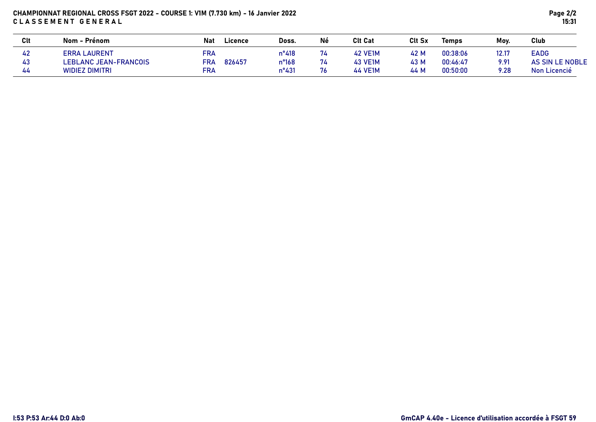## CHAMPIONNAT REGIONAL CROSS FSGT 2022 - COURSE 1: V1M (7.730 km) - 16 Janvier 2022 CLASSEMENT GENERAL

| Clt | Nom - Prénom                 | Licence<br><b>Nat</b> | Doss.          | Né | <b>Clt Cat</b> | Clt Sx | <b>Temps</b> | Mov.  | <b>Club</b>     |
|-----|------------------------------|-----------------------|----------------|----|----------------|--------|--------------|-------|-----------------|
| 42  | <b>ERRA LAURENT</b>          | FRA                   | $n^{\circ}418$ | 74 | <b>42 VE1M</b> | 42 M   | 00:38:06     | 12.17 | EADG            |
| 43  | <b>LEBLANC JEAN-FRANCOIS</b> | 826457<br><b>FRA</b>  | n°168          | 74 | <b>43 VE1M</b> | 43 M   | 00:46:47     | 9.91  | AS SIN LE NOBLE |
| 44  | <b>WIDIEZ DIMITRI</b>        | <b>FRA</b>            | $n^{\circ}431$ | 76 | <b>44 VE1M</b> | 44 M   | 00:50:00     | 9.28  | Non Licencié    |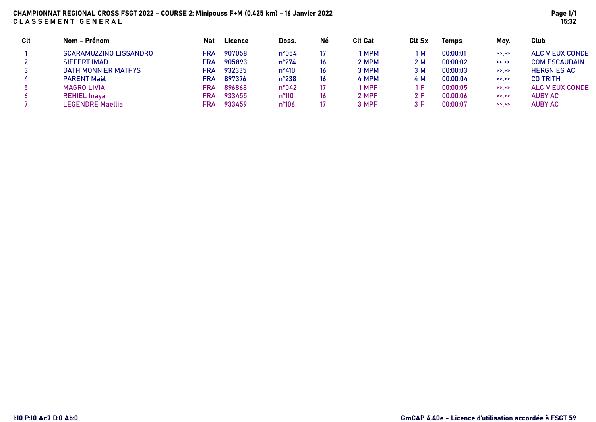# CHAMPIONNAT REGIONAL CROSS FSGT 2022 - COURSE 2: Minipouss F+M (0.425 km) - 16 Janvier 2022 CLASSEMENT GENERAL

| Clt | Nom - Prénom                  | Nat        | Licence | Doss.          | Né | <b>Clt Cat</b> | <b>Clt Sx</b> | Temps    | Moy.      | Club                   |
|-----|-------------------------------|------------|---------|----------------|----|----------------|---------------|----------|-----------|------------------------|
|     | <b>SCARAMUZZINO LISSANDRO</b> | <b>FRA</b> | 907058  | $n^{\circ}054$ | 17 | <b>MPM</b>     | M             | 00:00:01 | $>>$ $>>$ | <b>ALC VIEUX CONDE</b> |
|     | <b>SIEFERT IMAD</b>           | FRA        | 905893  | $n^{\circ}274$ | 16 | 2 MPM          | 2 M           | 00:00:02 | >>.>>     | <b>COM ESCAUDAIN</b>   |
|     | <b>DATH MONNIER MATHYS</b>    | FRA        | 932335  | $n^{\circ}410$ | 16 | 3 MPM          | 3 M           | 00:00:03 | $>>$ $>>$ | <b>HERGNIES AC</b>     |
|     | <b>PARENT Maël</b>            | FRA        | 897376  | $n^{\circ}238$ | 16 | 4 MPM          | 4 M           | 00:00:04 | >> . >>   | <b>CO TRITH</b>        |
|     | MAGRO LIVIA                   | FR∆        | 896868  | $n^{\circ}042$ | 17 | <b>MPF</b>     | F             | 00:00:05 | >>.>>     | ALC VIEUX CONDE        |
|     | <b>REHIEL Inaya</b>           | FRA        | 933455  | n°110          | 16 | 2 MPF          | 2 F           | 00:00:06 | $>>$ $>>$ | <b>AUBY AC</b>         |
|     | LEGENDRE Maellia              | FRA        | 933459  | n°106          | 17 | 3 MPF          | 3 F           | 00:00:07 | >>.>>     | <b>AUBY AC</b>         |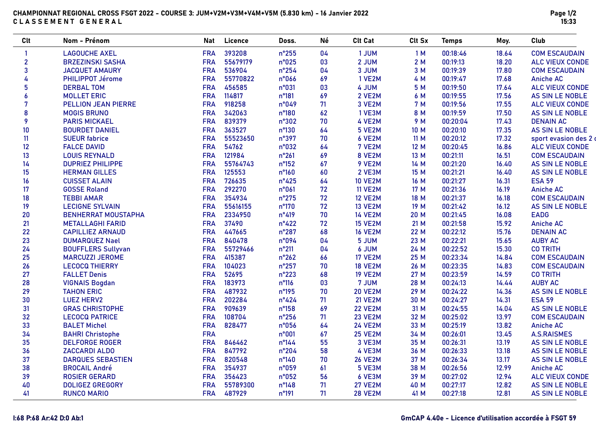## CHAMPIONNAT REGIONAL CROSS FSGT 2022 - COURSE 3: JUM+V2M+V3M+V4M+V5M (5.830 km) - 16 Janvier 2022 CLASSEMENT GENERAL

| <b>Clt</b>     | Nom - Prénom               | <b>Nat</b> | Licence  | Doss.           | Né | <b>Clt Cat</b> | Clt Sx | <b>Temps</b> | Moy.  | Club                   |
|----------------|----------------------------|------------|----------|-----------------|----|----------------|--------|--------------|-------|------------------------|
| -1             | <b>LAGOUCHE AXEL</b>       | <b>FRA</b> | 393208   | $n^{\circ}255$  | 04 | 1 JUM          | 1M     | 00:18:46     | 18.64 | <b>COM ESCAUDAIN</b>   |
| $\overline{2}$ | <b>BRZEZINSKI SASHA</b>    | <b>FRA</b> | 55679179 | n°025           | 03 | 2 JUM          | 2 M    | 00:19:13     | 18.20 | <b>ALC VIEUX CONDE</b> |
| 3              | <b>JACQUET AMAURY</b>      | <b>FRA</b> | 536904   | $n^{\circ}254$  | 04 | 3 JUM          | 3 M    | 00:19:39     | 17.80 | <b>COM ESCAUDAIN</b>   |
| 4              | PHILIPPOT Jérome           | <b>FRA</b> | 55770822 | n°066           | 69 | 1 VE2M         | 4 M    | 00:19:47     | 17.68 | <b>Aniche AC</b>       |
| 5              | <b>DERBAL TOM</b>          | <b>FRA</b> | 456585   | n°031           | 03 | 4 JUM          | 5 M    | 00:19:50     | 17.64 | <b>ALC VIEUX CONDE</b> |
| 6              | <b>MOLLET ERIC</b>         | <b>FRA</b> | 114817   | n°181           | 69 | 2 VE2M         | 6 M    | 00:19:55     | 17.56 | <b>AS SIN LE NOBLE</b> |
| 7              | <b>PELLION JEAN PIERRE</b> | <b>FRA</b> | 918258   | n°049           | 71 | 3 VE2M         | 7 M    | 00:19:56     | 17.55 | <b>ALC VIEUX CONDE</b> |
| 8              | <b>MOGIS BRUNO</b>         | <b>FRA</b> | 342063   | n°180           | 62 | 1 VE3M         | 8 M    | 00:19:59     | 17.50 | AS SIN LE NOBLE        |
| 9              | <b>PARIS MICKAEL</b>       | <b>FRA</b> | 839379   | n°302           | 70 | 4 VE2M         | 9 M    | 00:20:04     | 17.43 | <b>DENAIN AC</b>       |
| 10             | <b>BOURDET DANIEL</b>      | <b>FRA</b> | 363527   | $n^{\circ}130$  | 64 | 5 VE2M         | 10 M   | 00:20:10     | 17.35 | <b>AS SIN LE NOBLE</b> |
| 11             | <b>SUEUR fabrice</b>       | <b>FRA</b> | 55523650 | n°397           | 70 | 6 VE2M         | 11M    | 00:20:12     | 17.32 | sport evasion des 2 d  |
| 12             | <b>FALCE DAVID</b>         | <b>FRA</b> | 54762    | n°032           | 64 | 7 VE2M         | 12 M   | 00:20:45     | 16.86 | <b>ALC VIEUX CONDE</b> |
| 13             | <b>LOUIS REYNALD</b>       | <b>FRA</b> | 121984   | $n^{\circ}261$  | 69 | 8 VE2M         | 13 M   | 00:21:11     | 16.51 | <b>COM ESCAUDAIN</b>   |
| 14             | <b>DUPRIEZ PHILIPPE</b>    | <b>FRA</b> | 55764743 | $n^{\circ}152$  | 67 | 9 VE2M         | 14 M   | 00:21:20     | 16.40 | AS SIN LE NOBLE        |
| 15             | <b>HERMAN GILLES</b>       | <b>FRA</b> | 125553   | $n^{\circ}160$  | 60 | 2 VE3M         | 15 M   | 00:21:21     | 16.40 | <b>AS SIN LE NOBLE</b> |
| 16             | <b>CUISSET ALAIN</b>       | <b>FRA</b> | 726635   | $n^{\circ}425$  | 64 | <b>10 VE2M</b> | 16 M   | 00:21:27     | 16.31 | <b>ESA 59</b>          |
| 17             | <b>GOSSE Roland</b>        | <b>FRA</b> | 292270   | n°061           | 72 | <b>11 VE2M</b> | 17 M   | 00:21:36     | 16.19 | <b>Aniche AC</b>       |
| 18             | <b>TEBBI AMAR</b>          | <b>FRA</b> | 354934   | $n^{\circ}275$  | 72 | <b>12 VE2M</b> | 18 M   | 00:21:37     | 16.18 | <b>COM ESCAUDAIN</b>   |
| 19             | <b>LECIGNE SYLVAIN</b>     | <b>FRA</b> | 55616155 | $n^{\circ}170$  | 72 | <b>13 VE2M</b> | 19 M   | 00:21:42     | 16.12 | AS SIN LE NOBLE        |
| 20             | <b>BENHERRAT MOUSTAPHA</b> | <b>FRA</b> | 2334950  | $n^{\circ}419$  | 70 | <b>14 VE2M</b> | 20 M   | 00:21:45     | 16.08 | <b>EADG</b>            |
| 21             | <b>METALLAGHI FARID</b>    | <b>FRA</b> | 37490    | $n^{\circ}422$  | 72 | <b>15 VE2M</b> | 21 M   | 00:21:58     | 15.92 | <b>Aniche AC</b>       |
| 22             | <b>CAPILLIEZ ARNAUD</b>    | <b>FRA</b> | 447665   | n°287           | 68 | <b>16 VE2M</b> | 22 M   | 00:22:12     | 15.76 | <b>DENAIN AC</b>       |
| 23             | <b>DUMARQUEZ Nael</b>      | <b>FRA</b> | 840478   | n°094           | 04 | 5 JUM          | 23 M   | 00:22:21     | 15.65 | <b>AUBY AC</b>         |
| 24             | <b>BOUFFLERS Sullyvan</b>  | <b>FRA</b> | 55729466 | $n^{\circ}211$  | 04 | 6 JUM          | 24 M   | 00:22:52     | 15.30 | <b>CO TRITH</b>        |
| 25             | <b>MARCUZZI JEROME</b>     | <b>FRA</b> | 415387   | $n^{\circ}262$  | 66 | <b>17 VE2M</b> | 25 M   | 00:23:34     | 14.84 | <b>COM ESCAUDAIN</b>   |
| 26             | <b>LECOCQ THIERRY</b>      | <b>FRA</b> | 104023   | $n^{\circ}257$  | 70 | <b>18 VE2M</b> | 26 M   | 00:23:35     | 14.83 | <b>COM ESCAUDAIN</b>   |
| 27             | <b>FALLET Denis</b>        | <b>FRA</b> | 52695    | n°223           | 68 | <b>19 VE2M</b> | 27 M   | 00:23:59     | 14.59 | <b>CO TRITH</b>        |
| 28             | <b>VIGNAIS Bogdan</b>      | <b>FRA</b> | 183973   | $n^{\circ}116$  | 03 | 7 JUM          | 28 M   | 00:24:13     | 14.44 | <b>AUBY AC</b>         |
| 29             | <b>TAHON ERIC</b>          | <b>FRA</b> | 487932   | n°195           | 70 | <b>20 VE2M</b> | 29 M   | 00:24:22     | 14.36 | AS SIN LE NOBLE        |
| 30             | <b>LUEZ HERV2</b>          | <b>FRA</b> | 202284   | $n^{\circ}424$  | 71 | <b>21 VE2M</b> | 30 M   | 00:24:27     | 14.31 | <b>ESA 59</b>          |
| 31             | <b>GRAS CHRISTOPHE</b>     | <b>FRA</b> | 909639   | $n^{\circ}158$  | 69 | <b>22 VE2M</b> | 31 M   | 00:24:55     | 14.04 | AS SIN LE NOBLE        |
| 32             | <b>LECOCQ PATRICE</b>      | <b>FRA</b> | 108704   | $n^{\circ}256$  | 71 | <b>23 VE2M</b> | 32 M   | 00:25:02     | 13.97 | <b>COM ESCAUDAIN</b>   |
| 33             | <b>BALET Michel</b>        | <b>FRA</b> | 828477   | n°056           | 64 | <b>24 VE2M</b> | 33 M   | 00:25:19     | 13.82 | <b>Aniche AC</b>       |
| 34             | <b>BAHRI Christophe</b>    | <b>FRA</b> |          | n°001           | 67 | <b>25 VE2M</b> | 34 M   | 00:26:01     | 13.45 | <b>A.S.RAISMES</b>     |
| 35             | <b>DELFORGE ROGER</b>      | <b>FRA</b> | 846462   | $n^{\circ}$ 144 | 55 | 3 VE3M         | 35 M   | 00:26:31     | 13.19 | <b>AS SIN LE NOBLE</b> |
| 36             | <b>ZACCARDI ALDO</b>       | <b>FRA</b> | 847792   | $n^{\circ}204$  | 58 | 4 VE3M         | 36 M   | 00:26:33     | 13.18 | <b>AS SIN LE NOBLE</b> |
| 37             | <b>DARQUES SEBASTIEN</b>   | <b>FRA</b> | 820548   | $n^{\circ}140$  | 70 | <b>26 VE2M</b> | 37 M   | 00:26:34     | 13.17 | <b>AS SIN LE NOBLE</b> |
| 38             | <b>BROCAIL André</b>       | <b>FRA</b> | 354937   | n°059           | 61 | 5 VE3M         | 38 M   | 00:26:56     | 12.99 | <b>Aniche AC</b>       |
| 39             | <b>ROSIER GERARD</b>       | <b>FRA</b> | 356423   | $n^{\circ}052$  | 56 | 6 VE3M         | 39 M   | 00:27:02     | 12.94 | <b>ALC VIEUX CONDE</b> |
| 40             | <b>DOLIGEZ GREGORY</b>     | <b>FRA</b> | 55789300 | n°148           | 71 | <b>27 VE2M</b> | 40 M   | 00:27:17     | 12.82 | <b>AS SIN LE NOBLE</b> |
| 41             | <b>RUNCO MARIO</b>         | <b>FRA</b> | 487929   | n°191           | 71 | <b>28 VE2M</b> | 41 M   | 00:27:18     | 12.81 | AS SIN LE NOBLE        |

# I:68 P:68 Ar:42 D:0 Ab:1 GmCAP 4.40e - Licence d'utilisation accordée à FSGT 59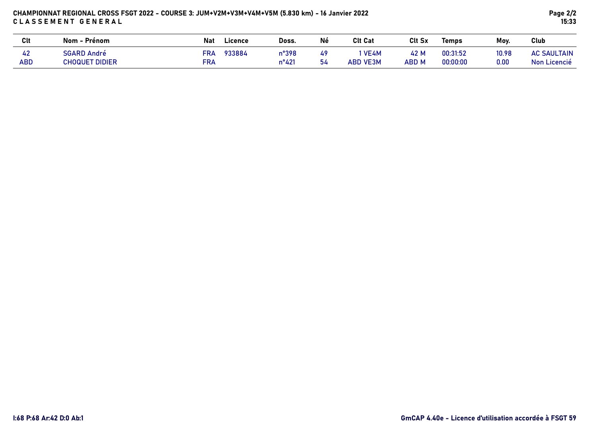# CHAMPIONNAT REGIONAL CROSS FSGT 2022 - COURSE 3: JUM+V2M+V3M+V4M+V5M (5.830 km) - 16 Janvier 2022 CLASSEMENT GENERAL

| <b>Clt</b>       | Nom - Prénom                                | Nat        | Doss.<br>Licence                  | Né       | <b>Clt Cat</b>            | <b>Clt Sx</b> | Temps                | Mov.          | Club                               |
|------------------|---------------------------------------------|------------|-----------------------------------|----------|---------------------------|---------------|----------------------|---------------|------------------------------------|
| 42<br><b>ABD</b> | <b>SGARD André</b><br><b>CHOQUET DIDIER</b> | FRA<br>FRA | 933884<br>n°398<br>$n^{\circ}421$ | 49<br>54 | ` VE4M<br><b>ABD VE3M</b> | 42 M<br>ABD M | 00:31:52<br>00:00:00 | 10.98<br>0.00 | <b>AC SAULTAIN</b><br>Non Licencié |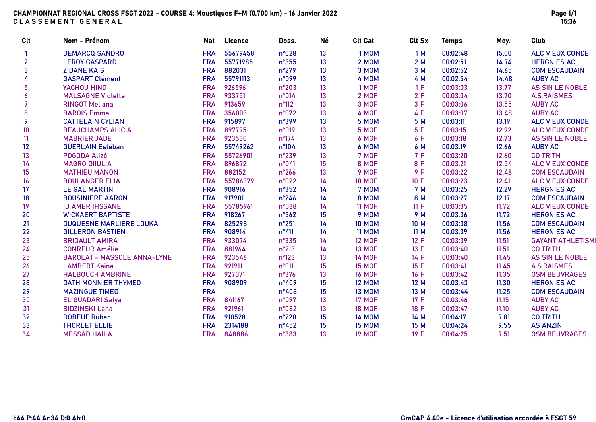| Clt            | Nom - Prénom                       | Nat        | Licence  | Doss.          | Né              | <b>Clt Cat</b> | Clt Sx     | <b>Temps</b> | Moy.  | Club                     |
|----------------|------------------------------------|------------|----------|----------------|-----------------|----------------|------------|--------------|-------|--------------------------|
|                | <b>DEMARCQ SANDRO</b>              | <b>FRA</b> | 55679458 | n°028          | 13              | 1 MOM          | 1 M        | 00:02:48     | 15.00 | <b>ALC VIEUX CONDE</b>   |
| $\overline{2}$ | <b>LEROY GASPARD</b>               | <b>FRA</b> | 55771985 | n°355          | 13              | 2 MOM          | 2M         | 00:02:51     | 14.74 | <b>HERGNIES AC</b>       |
| 3              | <b>ZIDANE KAIS</b>                 | <b>FRA</b> | 882031   | $n^{\circ}279$ | 13              | 3 MOM          | 3 M        | 00:02:52     | 14.65 | <b>COM ESCAUDAIN</b>     |
|                | <b>GASPART Clément</b>             | <b>FRA</b> | 55791113 | n°099          | 13              | 4 MOM          | 4 M        | 00:02:54     | 14.48 | <b>AUBY AC</b>           |
| 5              | YACHOU HIND                        | <b>FRA</b> | 926596   | $n^{\circ}203$ | 13              | 1 MOF          | 1 F        | 00:03:03     | 13.77 | AS SIN LE NOBLE          |
| 6              | <b>MALSAGNE Violette</b>           | <b>FRA</b> | 933751   | n°014          | 13              | 2 MOF          | 2F         | 00:03:04     | 13.70 | <b>A.S.RAISMES</b>       |
| 7              | <b>RINGOT Meliana</b>              | <b>FRA</b> | 913659   | $n^{\circ}112$ | 13              | 3 MOF          | 3F         | 00:03:06     | 13.55 | <b>AUBY AC</b>           |
| 8              | <b>BAROIS Emma</b>                 | <b>FRA</b> | 356003   | n°072          | 13              | 4 MOF          | 4 F        | 00:03:07     | 13.48 | <b>AUBY AC</b>           |
| 9              | <b>CATTELAIN CYLIAN</b>            | <b>FRA</b> | 915897   | n°399          | 13              | <b>5 MOM</b>   | 5 M        | 00:03:11     | 13.19 | <b>ALC VIEUX CONDE</b>   |
| 10             | <b>BEAUCHAMPS ALICIA</b>           | <b>FRA</b> | 897795   | n°019          | 13              | 5 MOF          | 5F         | 00:03:15     | 12.92 | <b>ALC VIEUX CONDE</b>   |
| 11             | <b>MABRIER JADE</b>                | <b>FRA</b> | 923530   | $n^{\circ}174$ | 13              | 6 MOF          | 6 F        | 00:03:18     | 12.73 | <b>AS SIN LE NOBLE</b>   |
| 12             | <b>GUERLAIN Esteban</b>            | <b>FRA</b> | 55749262 | $n^{\circ}104$ | 13              | 6 MOM          | 6 M        | 00:03:19     | 12.66 | <b>AUBY AC</b>           |
| 13             | POGODA Alizé                       | <b>FRA</b> | 55726901 | n°239          | 13              | 7 MOF          | <b>7 F</b> | 00:03:20     | 12.60 | <b>CO TRITH</b>          |
| 14             | <b>MAGRO GIIULIA</b>               | <b>FRA</b> | 896872   | n°041          | 15              | 8 MOF          | 8 F        | 00:03:21     | 12.54 | <b>ALC VIEUX CONDE</b>   |
| 15             | <b>MATHIEU MANON</b>               | <b>FRA</b> | 882152   | $n^{\circ}266$ | 13              | 9 MOF          | 9 F        | 00:03:22     | 12.48 | <b>COM ESCAUDAIN</b>     |
| 16             | <b>BOULANGER ELIA</b>              | <b>FRA</b> | 55786379 | n°022          | 14              | <b>10 MOF</b>  | 10 F       | 00:03:23     | 12.41 | <b>ALC VIEUX CONDE</b>   |
| 17             | <b>LE GAL MARTIN</b>               | <b>FRA</b> | 908916   | $n^{\circ}352$ | 14              | 7 MOM          | 7 M        | 00:03:25     | 12.29 | <b>HERGNIES AC</b>       |
| 18             | <b>BOUSINIERE AARON</b>            | <b>FRA</b> | 917901   | $n^{\circ}246$ | 14              | 8 MOM          | 8 M        | 00:03:27     | 12.17 | <b>COM ESCAUDAIN</b>     |
| 19             | <b>ID AMER IHSSANE</b>             | <b>FRA</b> | 55785961 | n°038          | 14              | <b>11 MOF</b>  | 11 F       | 00:03:35     | 11.72 | <b>ALC VIEUX CONDE</b>   |
| 20             | <b>WICKAERT BAPTISTE</b>           | <b>FRA</b> | 918267   | n°362          | 15              | 9 MOM          | 9 M        | 00:03:36     | 11.72 | <b>HERGNIES AC</b>       |
| 21             | <b>DUQUESNE MARLIERE LOUKA</b>     | <b>FRA</b> | 825298   | $n^{\circ}251$ | 14              | <b>10 MOM</b>  | 10 M       | 00:03:38     | 11.56 | <b>COM ESCAUDAIN</b>     |
| 22             | <b>GILLERON BASTIEN</b>            | <b>FRA</b> | 908914   | $n^{\circ}411$ | 14              | <b>11 MOM</b>  | 11 M       | 00:03:39     | 11.56 | <b>HERGNIES AC</b>       |
| 23             | <b>BRIDAULT AMIRA</b>              | <b>FRA</b> | 933074   | n°335          | 14              | <b>12 MOF</b>  | 12 F       | 00:03:39     | 11.51 | <b>GAYANT ATHLETISMI</b> |
| 24             | <b>CONREUR Amélie</b>              | <b>FRA</b> | 881964   | $n^{\circ}213$ | 14              | <b>13 MOF</b>  | 13 F       | 00:03:40     | 11.51 | <b>CO TRITH</b>          |
| 25             | <b>BAROLAT - MASSOLE ANNA-LYNE</b> | <b>FRA</b> | 923546   | n°123          | 13              | <b>14 MOF</b>  | 14F        | 00:03:40     | 11.45 | <b>AS SIN LE NOBLE</b>   |
| 26             | <b>LAMBERT Kaïna</b>               | <b>FRA</b> | 921911   | n°011          | 15              | <b>15 MOF</b>  | 15 F       | 00:03:41     | 11.45 | <b>A.S.RAISMES</b>       |
| 27             | <b>HALBOUCH AMBRINE</b>            | <b>FRA</b> | 927071   | n°376          | 13              | <b>16 MOF</b>  | 16 F       | 00:03:42     | 11.35 | <b>OSM BEUVRAGES</b>     |
| 28             | <b>DATH MONNIER THYMEO</b>         | <b>FRA</b> | 908909   | $n^{\circ}409$ | 15              | <b>12 MOM</b>  | 12 M       | 00:03:43     | 11.30 | <b>HERGNIES AC</b>       |
| 29             | <b>MAZINGUE TIMEO</b>              | <b>FRA</b> |          | $n^{\circ}408$ | 15              | <b>13 MOM</b>  | 13 M       | 00:03:44     | 11.25 | <b>COM ESCAUDAIN</b>     |
| 30             | <b>EL GUADARI Safya</b>            | <b>FRA</b> | 841167   | n°097          | 13              | <b>17 MOF</b>  | 17F        | 00:03:46     | 11.15 | <b>AUBY AC</b>           |
| 31             | <b>BIDZINSKI Lana</b>              | <b>FRA</b> | 921961   | n°082          | 13 <sup>°</sup> | <b>18 MOF</b>  | 18 F       | 00:03:47     | 11.10 | <b>AUBY AC</b>           |
| 32             | <b>DOBEUF Ruben</b>                | <b>FRA</b> | 910528   | $n^{\circ}220$ | 15              | <b>14 MOM</b>  | 14 M       | 00:04:17     | 9.81  | <b>CO TRITH</b>          |
| 33             | <b>THORLET ELLIE</b>               | <b>FRA</b> | 2314188  | $n^{\circ}452$ | 15              | <b>15 MOM</b>  | 15 M       | 00:04:24     | 9.55  | <b>AS ANZIN</b>          |
| 34             | <b>MESSAD HAILA</b>                | <b>FRA</b> | 848886   | n°383          | 13              | <b>19 MOF</b>  | 19 F       | 00:04:25     | 9.51  | <b>OSM BEUVRAGES</b>     |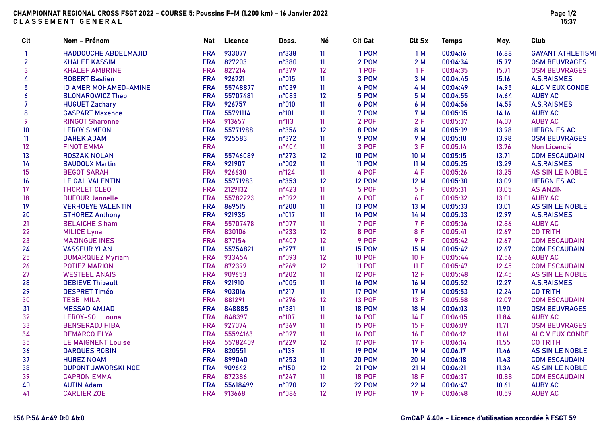# CHAMPIONNAT REGIONAL CROSS FSGT 2022 - COURSE 5: Poussins F+M (1.200 km) - 16 Janvier 2022 CLASSEMENT GENERAL

| <b>Clt</b>   | Nom - Prénom                 | <b>Nat</b> | Licence  | Doss.          | Né | <b>Clt Cat</b> | Clt Sx | <b>Temps</b> | Moy.  | Club                     |
|--------------|------------------------------|------------|----------|----------------|----|----------------|--------|--------------|-------|--------------------------|
| -1           | HADDOUCHE ABDELMAJID         | <b>FRA</b> | 933077   | n°338          | 11 | 1 POM          | 1M     | 00:04:16     | 16.88 | <b>GAYANT ATHLETISMI</b> |
| $\mathbf{2}$ | <b>KHALEF KASSIM</b>         | <b>FRA</b> | 827203   | n°380          | 11 | 2 POM          | 2M     | 00:04:34     | 15.77 | <b>OSM BEUVRAGES</b>     |
| 3            | <b>KHALEF AMBRINE</b>        | <b>FRA</b> | 827214   | n°379          | 12 | 1 POF          | 1F     | 00:04:35     | 15.71 | <b>OSM BEUVRAGES</b>     |
| 4            | <b>ROBERT Bastien</b>        | <b>FRA</b> | 926721   | n°015          | 11 | 3 POM          | 3 M    | 00:04:45     | 15.16 | <b>A.S.RAISMES</b>       |
| 5            | <b>ID AMER MOHAMED-AMINE</b> | <b>FRA</b> | 55748877 | n°039          | 11 | 4 POM          | 4 M    | 00:04:49     | 14.95 | <b>ALC VIEUX CONDE</b>   |
| 6            | <b>BLONAROWICZ Theo</b>      | <b>FRA</b> | 55707481 | n°083          | 12 | 5 POM          | 5 M    | 00:04:55     | 14.64 | <b>AUBY AC</b>           |
| 7            | <b>HUGUET Zachary</b>        | <b>FRA</b> | 926757   | n°010          | 11 | 6 POM          | 6 M    | 00:04:56     | 14.59 | <b>A.S.RAISMES</b>       |
| 8            | <b>GASPART Maxence</b>       | <b>FRA</b> | 55791114 | $n^{\circ}101$ | 11 | 7 POM          | 7 M    | 00:05:05     | 14.16 | <b>AUBY AC</b>           |
| 9            | <b>RINGOT Sharonne</b>       | <b>FRA</b> | 913657   | $n^{\circ}113$ | 11 | 2 POF          | 2F     | 00:05:07     | 14.07 | <b>AUBY AC</b>           |
| 10           | <b>LEROY SIMEON</b>          | <b>FRA</b> | 55771988 | $n^{\circ}356$ | 12 | 8 POM          | 8 M    | 00:05:09     | 13.98 | <b>HERGNIES AC</b>       |
| 11           | <b>DAHEK ADAM</b>            | <b>FRA</b> | 925583   | n°372          | 11 | 9 POM          | 9 M    | 00:05:10     | 13.98 | <b>OSM BEUVRAGES</b>     |
| 12           | <b>FINOT EMMA</b>            | <b>FRA</b> |          | $n^{\circ}404$ | 11 | 3 POF          | 3F     | 00:05:14     | 13.76 | Non Licencié             |
| 13           | <b>ROSZAK NOLAN</b>          | <b>FRA</b> | 55746089 | $n^{\circ}273$ | 12 | <b>10 POM</b>  | 10 M   | 00:05:15     | 13.71 | <b>COM ESCAUDAIN</b>     |
| 14           | <b>BAUDOUX Martin</b>        | <b>FRA</b> | 921907   | n°002          | 11 | <b>11 POM</b>  | 11 M   | 00:05:25     | 13.29 | <b>A.S.RAISMES</b>       |
| 15           | <b>BEGOT SARAH</b>           | <b>FRA</b> | 926630   | $n^{\circ}124$ | 11 | 4 POF          | 4 F    | 00:05:26     | 13.25 | AS SIN LE NOBLE          |
| 16           | <b>LE GAL VALENTIN</b>       | <b>FRA</b> | 55771983 | n°353          | 12 | <b>12 POM</b>  | 12 M   | 00:05:30     | 13.09 | <b>HERGNIES AC</b>       |
| 17           | <b>THORLET CLEO</b>          | <b>FRA</b> | 2129132  | $n^{\circ}423$ | 11 | 5 POF          | 5F     | 00:05:31     | 13.05 | <b>AS ANZIN</b>          |
| 18           | <b>DUFOUR Jannelle</b>       | <b>FRA</b> | 55782223 | n°092          | 11 | 6 POF          | 6 F    | 00:05:32     | 13.01 | <b>AUBY AC</b>           |
| 19           | <b>VERHOEYE VALENTIN</b>     | <b>FRA</b> | 869515   | $n^{\circ}200$ | 11 | <b>13 POM</b>  | 13 M   | 00:05:33     | 13.01 | AS SIN LE NOBLE          |
| 20           | <b>STHOREZ Anthony</b>       | <b>FRA</b> | 921935   | n°017          | 11 | <b>14 POM</b>  | 14 M   | 00:05:33     | 12.97 | <b>A.S.RAISMES</b>       |
| 21           | <b>BELAICHE Siham</b>        | <b>FRA</b> | 55707478 | n°077          | 11 | 7 POF          | 7 F    | 00:05:36     | 12.86 | <b>AUBY AC</b>           |
| 22           | <b>MILICE Lyna</b>           | <b>FRA</b> | 830106   | n°233          | 12 | <b>8 POF</b>   | 8 F    | 00:05:41     | 12.67 | <b>CO TRITH</b>          |
| 23           | <b>MAZINGUE INES</b>         | <b>FRA</b> | 877154   | $n^{\circ}407$ | 12 | <b>9 POF</b>   | 9F     | 00:05:42     | 12.67 | <b>COM ESCAUDAIN</b>     |
| 24           | <b>VASSEUR YLAN</b>          | <b>FRA</b> | 55754821 | $n^{\circ}277$ | 11 | <b>15 POM</b>  | 15 M   | 00:05:42     | 12.67 | <b>COM ESCAUDAIN</b>     |
| 25           | <b>DUMARQUEZ Myriam</b>      | <b>FRA</b> | 933454   | n°093          | 12 | <b>10 POF</b>  | 10 F   | 00:05:44     | 12.56 | <b>AUBY AC</b>           |
| 26           | <b>POTIEZ MARION</b>         | <b>FRA</b> | 872399   | $n^{\circ}269$ | 12 | <b>11 POF</b>  | 11 F   | 00:05:47     | 12.45 | <b>COM ESCAUDAIN</b>     |
| 27           | <b>WESTEEL ANAIS</b>         | <b>FRA</b> | 909653   | n°202          | 11 | <b>12 POF</b>  | 12 F   | 00:05:48     | 12.45 | AS SIN LE NOBLE          |
| 28           | <b>DEBIEVE Thibault</b>      | <b>FRA</b> | 921910   | n°005          | 11 | <b>16 POM</b>  | 16 M   | 00:05:52     | 12.27 | <b>A.S.RAISMES</b>       |
| 29           | <b>DESPRET Timéo</b>         | <b>FRA</b> | 903016   | $n^{\circ}217$ | 11 | <b>17 POM</b>  | 17 M   | 00:05:53     | 12.24 | <b>CO TRITH</b>          |
| 30           | <b>TEBBI MILA</b>            | <b>FRA</b> | 881291   | $n^{\circ}276$ | 12 | <b>13 POF</b>  | 13 F   | 00:05:58     | 12.07 | <b>COM ESCAUDAIN</b>     |
| 31           | <b>MESSAD AMJAD</b>          | <b>FRA</b> | 848885   | n°381          | 11 | <b>18 POM</b>  | 18 M   | 00:06:03     | 11.90 | <b>OSM BEUVRAGES</b>     |
| 32           | <b>LEROY-SOL Louna</b>       | <b>FRA</b> | 848397   | n°107          | 11 | <b>14 POF</b>  | 14 F   | 00:06:05     | 11.84 | <b>AUBY AC</b>           |
| 33           | <b>BENSERADJ HIBA</b>        | <b>FRA</b> | 927074   | n°369          | 11 | <b>15 POF</b>  | 15 F   | 00:06:09     | 11.71 | <b>OSM BEUVRAGES</b>     |
| 34           | <b>DEMARCQ ELYA</b>          | <b>FRA</b> | 55594163 | n°027          | 11 | <b>16 POF</b>  | 16 F   | 00:06:12     | 11.61 | <b>ALC VIEUX CONDE</b>   |
| 35           | <b>LE MAIGNENT Louise</b>    | <b>FRA</b> | 55782409 | $n^{\circ}229$ | 12 | <b>17 POF</b>  | 17 F   | 00:06:14     | 11.55 | <b>CO TRITH</b>          |
| 36           | <b>DARQUES ROBIN</b>         | <b>FRA</b> | 820551   | n°139          | 11 | <b>19 POM</b>  | 19 M   | 00:06:17     | 11.46 | <b>AS SIN LE NOBLE</b>   |
| 37           | <b>HUREZ NOAM</b>            | <b>FRA</b> | 899040   | $n^{\circ}253$ | 11 | <b>20 POM</b>  | 20 M   | 00:06:18     | 11.43 | <b>COM ESCAUDAIN</b>     |
| 38           | <b>DUPONT JAWORSKI NOE</b>   | <b>FRA</b> | 909642   | n°150          | 12 | <b>21 POM</b>  | 21 M   | 00:06:21     | 11.34 | <b>AS SIN LE NOBLE</b>   |
| 39           | <b>CAPRON EMMA</b>           | <b>FRA</b> | 872386   | $n^{\circ}247$ | 11 | <b>18 POF</b>  | 18 F   | 00:06:37     | 10.88 | <b>COM ESCAUDAIN</b>     |
| 40           | <b>AUTIN Adam</b>            | <b>FRA</b> | 55618499 | n°070          | 12 | <b>22 POM</b>  | 22 M   | 00:06:47     | 10.61 | <b>AUBY AC</b>           |
| 41           | <b>CARLIER ZOE</b>           | <b>FRA</b> | 913668   | n°086          | 12 | <b>19 POF</b>  | 19 F   | 00:06:48     | 10.59 | <b>AUBY AC</b>           |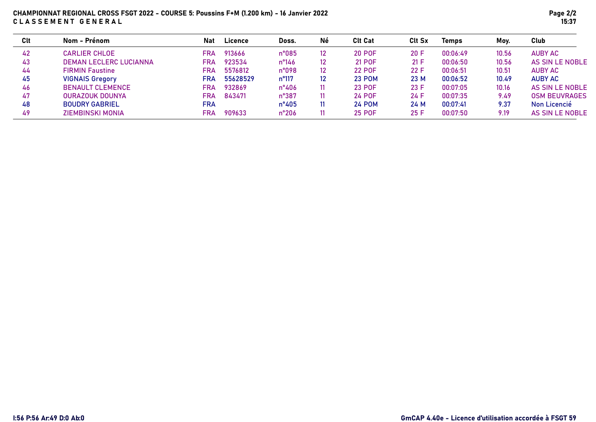# CHAMPIONNAT REGIONAL CROSS FSGT 2022 - COURSE 5: Poussins F+M (1.200 km) - 16 Janvier 2022 CLASSEMENT GENERAL

| Clt | Nom - Prénom                  | Nat | <b>Licence</b> | Doss.           | Né              | <b>Clt Cat</b> | <b>Clt Sx</b> | <b>Temps</b> | Moy.  | Club                 |
|-----|-------------------------------|-----|----------------|-----------------|-----------------|----------------|---------------|--------------|-------|----------------------|
| 42  | <b>CARLIER CHLOE</b>          | FRA | 913666         | $n^{\circ}085$  | 12.             | <b>20 POF</b>  | 20 F          | 00:06:49     | 10.56 | <b>AUBY AC</b>       |
| 43  | <b>DEMAN LECLERC LUCIANNA</b> | FRA | 923534         | $n^{\circ}$ 146 | 12 <sup>2</sup> | <b>21 POF</b>  | 21 F          | 00:06:50     | 10.56 | AS SIN LE NOBLE      |
| 44  | <b>FIRMIN Faustine</b>        | FRA | 5576812        | n°098           | 12.             | <b>22 POF</b>  | 22 F          | 00:06:51     | 10.51 | AUBY AC              |
| 45  | <b>VIGNAIS Gregory</b>        | FRA | 55628529       | $n^{\circ}117$  | 12              | <b>23 POM</b>  | 23 M          | 00:06:52     | 10.49 | <b>AUBY AC</b>       |
| 46  | <b>BENAULT CLEMENCE</b>       | FRA | 932869         | $n^{\circ}406$  | 11              | <b>23 POF</b>  | 23 F          | 00:07:05     | 10.16 | AS SIN LE NOBLE      |
| 47  | <b>OURAZOUK DOUNYA</b>        | FRA | 843471         | $n^{\circ}387$  | 11              | <b>24 POF</b>  | 24 F          | 00:07:35     | 9.49  | <b>OSM BEUVRAGES</b> |
| 48  | <b>BOUDRY GABRIEL</b>         | FRA |                | $n^{\circ}405$  | 11              | <b>24 POM</b>  | 24 M          | 00:07:41     | 9.37  | Non Licencié         |
| 49  | ZIEMBINSKI MONIA              | FRA | 909633         | $n^{\circ}206$  | 11.             | <b>25 POF</b>  | 25 F          | 00:07:50     | 9.19  | AS SIN LE NOBLE      |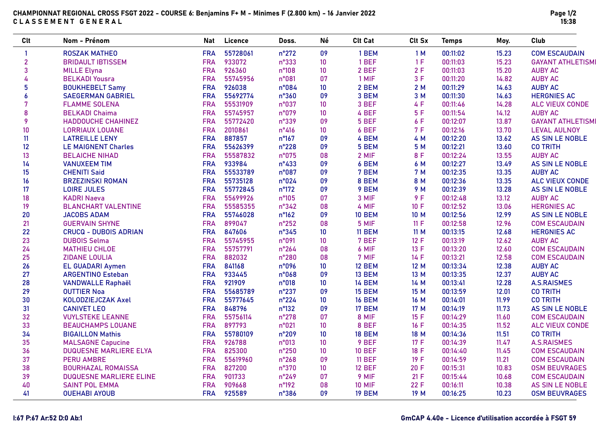# CHAMPIONNAT REGIONAL CROSS FSGT 2022 - COURSE 6: Benjamins F+ M - Minimes F (2.800 km) - 16 Janvier 2022 CLASSEMENT GENERAL

| <b>Clt</b>       | Nom - Prénom                   | Nat        | Licence  | Doss.          | Né              | <b>Clt Cat</b> | Clt Sx | <b>Temps</b> | Moy.  | Club                     |
|------------------|--------------------------------|------------|----------|----------------|-----------------|----------------|--------|--------------|-------|--------------------------|
| $\mathbf{1}$     | <b>ROSZAK MATHEO</b>           | <b>FRA</b> | 55728061 | $n^{\circ}272$ | 09              | 1 BEM          | 1M     | 00:11:02     | 15.23 | <b>COM ESCAUDAIN</b>     |
| $\overline{2}$   | <b>BRIDAULT IBTISSEM</b>       | <b>FRA</b> | 933072   | n°333          | 10              | 1 BEF          | 1F     | 00:11:03     | 15.23 | <b>GAYANT ATHLETISMI</b> |
| 3                | <b>MILLE Elyna</b>             | <b>FRA</b> | 926360   | n°108          | 10 <sup>°</sup> | 2 BEF          | 2F     | 00:11:03     | 15.20 | <b>AUBY AC</b>           |
| 4                | <b>BELKADI Yousra</b>          | <b>FRA</b> | 55745956 | n°081          | 07              | 1 MIF          | 3F     | 00:11:20     | 14.82 | <b>AUBY AC</b>           |
| 5                | <b>BOUKHEBELT Samy</b>         | <b>FRA</b> | 926038   | n°084          | 10              | 2 BEM          | 2M     | 00:11:29     | 14.63 | <b>AUBY AC</b>           |
| $\boldsymbol{6}$ | <b>SAEGERMAN GABRIEL</b>       | <b>FRA</b> | 55692774 | n°360          | 09              | 3 BEM          | 3 M    | 00:11:30     | 14.63 | <b>HERGNIES AC</b>       |
| 7                | <b>FLAMME SOLENA</b>           | <b>FRA</b> | 55531909 | n°037          | 10              | 3 BEF          | 4 F    | 00:11:46     | 14.28 | <b>ALC VIEUX CONDE</b>   |
| 8                | <b>BELKADI Chaima</b>          | <b>FRA</b> | 55745957 | n°079          | 10              | 4 BEF          | 5F     | 00:11:54     | 14.12 | <b>AUBY AC</b>           |
| 9                | <b>HADDOUCHE CHAHINEZ</b>      | <b>FRA</b> | 55772420 | n°339          | 09              | 5 BEF          | 6 F    | 00:12:07     | 13.87 | <b>GAYANT ATHLETISMI</b> |
| 10               | <b>LORRIAUX LOUANE</b>         | <b>FRA</b> | 2010861  | $n^{\circ}416$ | 10 <sup>°</sup> | 6 BEF          | 7F     | 00:12:16     | 13.70 | <b>LEVAL AULNOY</b>      |
| 11               | <b>LATREILLE LENY</b>          | <b>FRA</b> | 887857   | n°167          | 09              | 4 BEM          | 4 M    | 00:12:20     | 13.62 | AS SIN LE NOBLE          |
| 12               | <b>LE MAIGNENT Charles</b>     | <b>FRA</b> | 55626399 | n°228          | 09              | 5 BEM          | 5 M    | 00:12:21     | 13.60 | <b>CO TRITH</b>          |
| 13               | <b>BELAICHE NIHAD</b>          | <b>FRA</b> | 55587832 | n°075          | 08              | 2 MIF          | 8 F    | 00:12:24     | 13.55 | <b>AUBY AC</b>           |
| 14               | <b>VANUXEEM TIM</b>            | <b>FRA</b> | 933984   | $n^{\circ}433$ | 09              | 6 BEM          | 6 M    | 00:12:27     | 13.49 | <b>AS SIN LE NOBLE</b>   |
| 15               | <b>CHENITI Said</b>            | <b>FRA</b> | 55533789 | n°087          | 09              | 7 BEM          | 7 M    | 00:12:35     | 13.35 | <b>AUBY AC</b>           |
| 16               | <b>BRZEZINSKI ROMAN</b>        | <b>FRA</b> | 55735128 | n°024          | 09              | 8 BEM          | 8 M    | 00:12:36     | 13.35 | <b>ALC VIEUX CONDE</b>   |
| 17               | <b>LOIRE JULES</b>             | <b>FRA</b> | 55772845 | $n^{\circ}172$ | 09              | 9 BEM          | 9 M    | 00:12:39     | 13.28 | <b>AS SIN LE NOBLE</b>   |
| 18               | <b>KADRI Naeva</b>             | <b>FRA</b> | 55699926 | $n^{\circ}105$ | 07              | 3 MIF          | 9F     | 00:12:48     | 13.12 | <b>AUBY AC</b>           |
| 19               | <b>BLANCHART VALENTINE</b>     | <b>FRA</b> | 55585355 | n°342          | 08              | 4 MIF          | 10 F   | 00:12:52     | 13.06 | <b>HERGNIES AC</b>       |
| 20               | <b>JACOBS ADAM</b>             | <b>FRA</b> | 55746028 | $n^{\circ}162$ | 09              | <b>10 BEM</b>  | 10 M   | 00:12:56     | 12.99 | AS SIN LE NOBLE          |
| 21               | <b>GUERVAIN SHYNE</b>          | <b>FRA</b> | 899047   | $n^{\circ}252$ | 08              | 5 MIF          | 11 F   | 00:12:58     | 12.96 | <b>COM ESCAUDAIN</b>     |
| 22               | <b>CRUCQ - DUBOIS ADRIAN</b>   | <b>FRA</b> | 847606   | n°345          | 10              | 11 BEM         | 11 M   | 00:13:15     | 12.68 | <b>HERGNIES AC</b>       |
| 23               | <b>DUBOIS Selma</b>            | <b>FRA</b> | 55745955 | n°091          | 10              | 7 BEF          | 12 F   | 00:13:19     | 12.62 | <b>AUBY AC</b>           |
| 24               | <b>MATHIEU CHLOE</b>           | <b>FRA</b> | 55757791 | $n^{\circ}264$ | 08              | 6 MIF          | 13 F   | 00:13:20     | 12.60 | <b>COM ESCAUDAIN</b>     |
| 25               | <b>ZIDANE LOULIA</b>           | <b>FRA</b> | 882032   | n°280          | 08              | 7 MIF          | 14 F   | 00:13:21     | 12.58 | <b>COM ESCAUDAIN</b>     |
| 26               | <b>EL GUADARI Aymen</b>        | <b>FRA</b> | 841168   | n°096          | 10 <sup>°</sup> | <b>12 BEM</b>  | 12 M   | 00:13:34     | 12.38 | <b>AUBY AC</b>           |
| 27               | <b>ARGENTINO Esteban</b>       | <b>FRA</b> | 933445   | n°068          | 09              | <b>13 BEM</b>  | 13 M   | 00:13:35     | 12.37 | <b>AUBY AC</b>           |
| 28               | <b>VANDWALLE Raphaël</b>       | <b>FRA</b> | 921909   | n°018          | 10              | <b>14 BEM</b>  | 14 M   | 00:13:41     | 12.28 | <b>A.S.RAISMES</b>       |
| 29               | <b>OUTTIER Noa</b>             | <b>FRA</b> | 55685789 | n°237          | 09              | <b>15 BEM</b>  | 15 M   | 00:13:59     | 12.01 | <b>CO TRITH</b>          |
| 30               | KOLODZIEJCZAK Axel             | <b>FRA</b> | 55777645 | $n^{\circ}224$ | 10 <sup>°</sup> | <b>16 BEM</b>  | 16 M   | 00:14:01     | 11.99 | <b>CO TRITH</b>          |
| 31               | <b>CANIVET LEO</b>             | <b>FRA</b> | 848796   | n°132          | 09              | <b>17 BEM</b>  | 17 M   | 00:14:19     | 11.73 | <b>AS SIN LE NOBLE</b>   |
| 32               | <b>VUYLSTEKE LEANNE</b>        | <b>FRA</b> | 55756114 | n°278          | 07              | 8 MIF          | 15 F   | 00:14:29     | 11.60 | <b>COM ESCAUDAIN</b>     |
| 33               | <b>BEAUCHAMPS LOUANE</b>       | <b>FRA</b> | 897793   | n°021          | 10              | 8 BEF          | 16F    | 00:14:35     | 11.52 | <b>ALC VIEUX CONDE</b>   |
| 34               | <b>BIGAILLON Mathis</b>        | <b>FRA</b> | 55780109 | n°209          | 10 <sup>°</sup> | <b>18 BEM</b>  | 18 M   | 00:14:36     | 11.51 | <b>CO TRITH</b>          |
| 35               | <b>MALSAGNE Capucine</b>       | <b>FRA</b> | 926788   | n°013          | 10              | 9 BEF          | 17 F   | 00:14:39     | 11.47 | <b>A.S.RAISMES</b>       |
| 36               | <b>DUQUESNE MARLIERE ELYA</b>  | <b>FRA</b> | 825300   | n°250          | 10 <sup>°</sup> | <b>10 BEF</b>  | 18 F   | 00:14:40     | 11.45 | <b>COM ESCAUDAIN</b>     |
| 37               | <b>PERU AMBRE</b>              | <b>FRA</b> | 55619960 | n°268          | 09              | <b>11 BEF</b>  | 19 F   | 00:14:59     | 11.21 | <b>COM ESCAUDAIN</b>     |
| 38               | <b>BOURHAZAL ROMAISSA</b>      | <b>FRA</b> | 827200   | n°370          | 10              | <b>12 BEF</b>  | 20 F   | 00:15:31     | 10.83 | <b>OSM BEUVRAGES</b>     |
| 39               | <b>DUQUESNE MARLIERE ELINE</b> | <b>FRA</b> | 901733   | n°249          | 07              | 9 MIF          | 21 F   | 00:15:44     | 10.68 | <b>COM ESCAUDAIN</b>     |
| 40               | <b>SAINT POL EMMA</b>          | <b>FRA</b> | 909668   | $n^{\circ}192$ | 08              | <b>10 MIF</b>  | 22 F   | 00:16:11     | 10.38 | <b>AS SIN LE NOBLE</b>   |
| 41               | <b>OUEHABI AYOUB</b>           | <b>FRA</b> | 925589   | n°386          | 09              | <b>19 BEM</b>  | 19 M   | 00:16:25     | 10.23 | <b>OSM BEUVRAGES</b>     |

# I:67 P:67 Ar:52 D:0 Ab:1 GmCAP 4.40e - Licence d'utilisation accordée à FSGT 59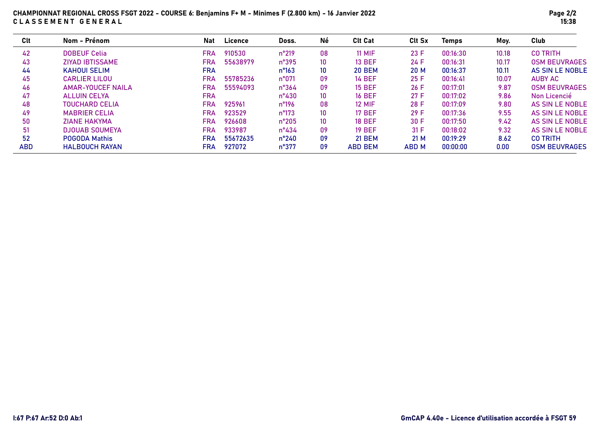# CHAMPIONNAT REGIONAL CROSS FSGT 2022 - COURSE 6: Benjamins F+ M - Minimes F (2.800 km) - 16 Janvier 2022 CLASSEMENT GENERAL

| Clt        | Nom - Prénom             | <b>Nat</b> | <b>Licence</b> | Doss.           | Né              | <b>Clt Cat</b> | <b>Clt Sx</b> | <b>Temps</b> | Moy.  | Club                   |
|------------|--------------------------|------------|----------------|-----------------|-----------------|----------------|---------------|--------------|-------|------------------------|
| 42         | <b>DOBEUF Celia</b>      | <b>FRA</b> | 910530         | $n^{\circ}219$  | 08              | <b>11 MIF</b>  | 23 F          | 00:16:30     | 10.18 | <b>CO TRITH</b>        |
| 43         | <b>ZIYAD IBTISSAME</b>   | <b>FRA</b> | 55638979       | $n^{\circ}395$  | 10              | <b>13 BEF</b>  | 24 F          | 00:16:31     | 10.17 | <b>OSM BEUVRAGES</b>   |
| 44         | <b>KAHOUI SELIM</b>      | <b>FRA</b> |                | $n^{\circ}163$  | 10              | <b>20 BEM</b>  | 20 M          | 00:16:37     | 10.11 | AS SIN LE NOBLE        |
| 45         | <b>CARLIER LILOU</b>     | <b>FRA</b> | 55785236       | $n^{\circ}071$  | 09              | <b>14 BEF</b>  | 25 F          | 00:16:41     | 10.07 | <b>AUBY AC</b>         |
| 46         | <b>AMAR-YOUCEF NAILA</b> | <b>FRA</b> | 55594093       | $n^{\circ}364$  | 09              | <b>15 BEF</b>  | 26 F          | 00:17:01     | 9.87  | <b>OSM BEUVRAGES</b>   |
| 47         | <b>ALLUIN CELYA</b>      | <b>FRA</b> |                | $n^{\circ}430$  | 10              | <b>16 BEF</b>  | 27 F          | 00:17:02     | 9.86  | Non Licencié           |
| 48         | <b>TOUCHARD CELIA</b>    | <b>FRA</b> | 925961         | $n^{\circ}$ 196 | 08              | <b>12 MIF</b>  | 28 F          | 00:17:09     | 9.80  | AS SIN LE NOBLE        |
| 49         | <b>MABRIER CELIA</b>     | <b>FRA</b> | 923529         | $n^{\circ}173$  | 10              | <b>17 BEF</b>  | 29 F          | 00:17:36     | 9.55  | AS SIN LE NOBLE        |
| 50         | <b>ZIANE HAKYMA</b>      | <b>FRA</b> | 926608         | $n^{\circ}205$  | 10 <sup>°</sup> | <b>18 BEF</b>  | 30 F          | 00:17:50     | 9.42  | AS SIN LE NOBLE        |
| 51         | <b>DJOUAB SOUMEYA</b>    | <b>FRA</b> | 933987         | $n^{\circ}434$  | 09              | <b>19 BEF</b>  | 31 F          | 00:18:02     | 9.32  | <b>AS SIN LE NOBLE</b> |
| 52         | <b>POGODA Mathis</b>     | <b>FRA</b> | 55672635       | $n^{\circ}240$  | 09              | <b>21 BEM</b>  | 21 M          | 00:19:29     | 8.62  | <b>CO TRITH</b>        |
| <b>ABD</b> | <b>HALBOUCH RAYAN</b>    | FRA        | 927072         | n°377           | 09              | <b>ABD BEM</b> | <b>ABD M</b>  | 00:00:00     | 0.00  | <b>OSM BEUVRAGES</b>   |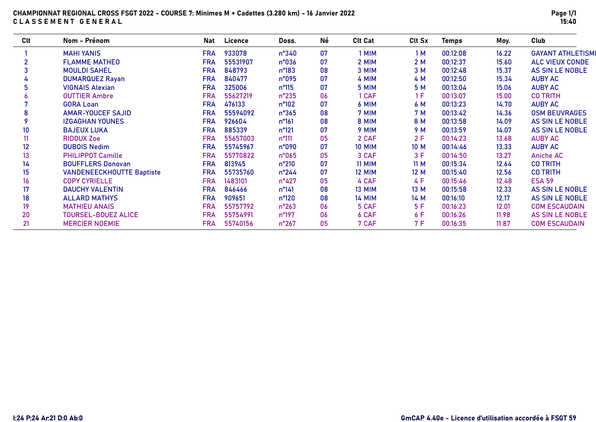### CHAMPIONNAT REGIONAL CROSS FSGT 2022 - COURSE 7: Minimes M + Cadettes (3.280 km) - 16 Janvier 2022 CLASSEMENT GENERAL

| Clt | Nom - Prénom                     | Nat        | Licence  | Doss.          | Né | <b>Clt Cat</b> | Clt Sx | <b>Temps</b> | Moy.  | Club                     |
|-----|----------------------------------|------------|----------|----------------|----|----------------|--------|--------------|-------|--------------------------|
|     | <b>MAHI YANIS</b>                | <b>FRA</b> | 933078   | $n^{\circ}340$ | 07 | 1 MIM          | 1 M    | 00:12:08     | 16.22 | <b>GAYANT ATHLETISMI</b> |
| 2   | <b>FLAMME MATHEO</b>             | <b>FRA</b> | 55531907 | n°036          | 07 | 2 MIM          | 2M     | 00:12:37     | 15.60 | <b>ALC VIEUX CONDE</b>   |
| 3   | <b>MOULDI SAHEL</b>              | <b>FRA</b> | 848793   | n°183          | 08 | 3 MIM          | 3 M    | 00:12:48     | 15.37 | AS SIN LE NOBLE          |
|     | <b>DUMARQUEZ Rayan</b>           | <b>FRA</b> | 840477   | n°095          | 07 | 4 MIM          | 4 M    | 00:12:50     | 15.34 | <b>AUBY AC</b>           |
|     | <b>VIGNAIS Alexian</b>           | <b>FRA</b> | 325006   | $n^{\circ}115$ | 07 | 5 MIM          | 5 M    | 00:13:04     | 15.06 | <b>AUBY AC</b>           |
|     | <b>OUTTIER Ambre</b>             | <b>FRA</b> | 55627219 | $n^{\circ}235$ | 06 | 1 CAF          | 1 F    | 00:13:07     | 15.00 | <b>CO TRITH</b>          |
|     | <b>GORA Loan</b>                 | <b>FRA</b> | 476133   | $n^{\circ}102$ | 07 | 6 MIM          | 6 M    | 00:13:23     | 14.70 | <b>AUBY AC</b>           |
| 8   | <b>AMAR-YOUCEF SAJID</b>         | <b>FRA</b> | 55594092 | $n^{\circ}365$ | 08 | 7 MIM          | 7 M    | 00:13:42     | 14.36 | <b>OSM BEUVRAGES</b>     |
|     | <b>IZGAGHAN YOUNES</b>           | <b>FRA</b> | 926604   | $n^{\circ}161$ | 08 | 8 MIM          | 8 M    | 00:13:58     | 14.09 | <b>AS SIN LE NOBLE</b>   |
| 10  | <b>BAJEUX LUKA</b>               | <b>FRA</b> | 885339   | n°121          | 07 | 9 MIM          | 9 M    | 00:13:59     | 14.07 | AS SIN LE NOBLE          |
| 11  | <b>RIDOUX Zoe</b>                | <b>FRA</b> | 55657003 | $n^{\circ}111$ | 05 | 2 CAF          | 2F     | 00:14:23     | 13.68 | <b>AUBY AC</b>           |
| 12  | <b>DUBOIS Nedim</b>              | <b>FRA</b> | 55745967 | n°090          | 07 | <b>10 MIM</b>  | 10 M   | 00:14:46     | 13.33 | <b>AUBY AC</b>           |
| 13  | <b>PHILIPPOT Camille</b>         | <b>FRA</b> | 55770822 | n°065          | 05 | 3 CAF          | 3F     | 00:14:50     | 13.27 | <b>Aniche AC</b>         |
| 14  | <b>BOUFFLERS Donovan</b>         | <b>FRA</b> | 813945   | $n^{\circ}210$ | 07 | <b>11 MIM</b>  | 11 M   | 00:15:34     | 12.64 | <b>CO TRITH</b>          |
| 15  | <b>VANDENEECKHOUTTE Baptiste</b> | <b>FRA</b> | 55735760 | $n^{\circ}244$ | 07 | <b>12 MIM</b>  | 12 M   | 00:15:40     | 12.56 | <b>CO TRITH</b>          |
| 16  | <b>COPY CYRIELLE</b>             | <b>FRA</b> | 1483101  | $n^{\circ}427$ | 05 | 4 CAF          | 4 F    | 00:15:46     | 12.48 | <b>ESA 59</b>            |
| 17  | <b>DAUCHY VALENTIN</b>           | <b>FRA</b> | 846466   | $n^{\circ}141$ | 08 | 13 MIM         | 13 M   | 00:15:58     | 12.33 | <b>AS SIN LE NOBLE</b>   |
| 18  | <b>ALLARD MATHYS</b>             | <b>FRA</b> | 909651   | $n^{\circ}120$ | 08 | <b>14 MIM</b>  | 14 M   | 00:16:10     | 12.17 | AS SIN LE NOBLE          |
| 19  | <b>MATHIEU ANAIS</b>             | <b>FRA</b> | 55757792 | $n^{\circ}263$ | 06 | 5 CAF          | 5 F    | 00:16:23     | 12.01 | <b>COM ESCAUDAIN</b>     |
| 20  | <b>TOURSEL-BOUEZ ALICE</b>       | <b>FRA</b> | 55754991 | $n^{\circ}197$ | 06 | 6 CAF          | 6 F    | 00:16:26     | 11.98 | AS SIN LE NOBLE          |
| 21  | <b>MERCIER NOEMIE</b>            | <b>FRA</b> | 55740156 | $n^{\circ}267$ | 05 | 7 CAF          | 7 F    | 00:16:35     | 11.87 | <b>COM ESCAUDAIN</b>     |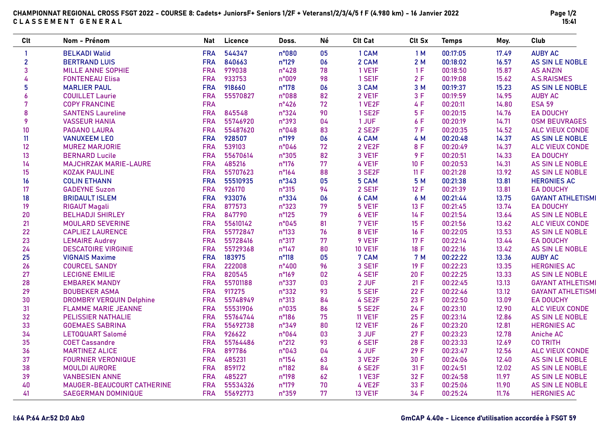| CHAMPIONNAT REGIONAL CROSS FSGT 2022 - COURSE 8: Cadets+ JuniorsF+ Seniors 1/2F + Veterans1/2/3/4/5 f F (4.980 km) - 16 Janvier 2022 |  |
|--------------------------------------------------------------------------------------------------------------------------------------|--|
| CLASSEMENT GENERAL                                                                                                                   |  |

Page 1/2 15:41

| Clt            | Nom - Prénom                    | Nat        | Licence  | Doss.          | Né | <b>Clt Cat</b> | Clt Sx     | <b>Temps</b> | Moy.  | Club                     |
|----------------|---------------------------------|------------|----------|----------------|----|----------------|------------|--------------|-------|--------------------------|
| $\mathbf{1}$   | <b>BELKADI Walid</b>            | <b>FRA</b> | 544347   | n°080          | 05 | 1 CAM          | 1M         | 00:17:05     | 17.49 | <b>AUBY AC</b>           |
| $\overline{2}$ | <b>BERTRAND LUIS</b>            | <b>FRA</b> | 840663   | n°129          | 06 | 2 CAM          | 2M         | 00:18:02     | 16.57 | AS SIN LE NOBLE          |
| 3              | <b>MILLE ANNE SOPHIE</b>        | <b>FRA</b> | 979038   | $n^{\circ}428$ | 78 | 1 VE1F         | 1F         | 00:18:50     | 15.87 | <b>AS ANZIN</b>          |
| 4              | <b>FONTENEAU Elisa</b>          | <b>FRA</b> | 933753   | n°009          | 98 | 1 SE1F         | 2F         | 00:19:08     | 15.62 | <b>A.S.RAISMES</b>       |
| 5              | <b>MARLIER PAUL</b>             | <b>FRA</b> | 918660   | n°178          | 06 | 3 CAM          | 3 M        | 00:19:37     | 15.23 | AS SIN LE NOBLE          |
| $\overline{6}$ | <b>COUILLET Laurie</b>          | <b>FRA</b> | 55570827 | n°088          | 82 | 2 VE1F         | 3F         | 00:19:59     | 14.95 | <b>AUBY AC</b>           |
| $\overline{7}$ | <b>COPY FRANCINE</b>            | <b>FRA</b> |          | $n^{\circ}426$ | 72 | 1 VE2F         | 4 F        | 00:20:11     | 14.80 | <b>ESA 59</b>            |
| 8              | <b>SANTENS Laureline</b>        | <b>FRA</b> | 845548   | n°324          | 90 | 1 SE2F         | 5F         | 00:20:15     | 14.76 | <b>EA DOUCHY</b>         |
| 9              | <b>VASSEUR HANIA</b>            | <b>FRA</b> | 55746920 | n°393          | 04 | 1 JUF          | 6 F        | 00:20:19     | 14.71 | <b>OSM BEUVRAGES</b>     |
| 10             | <b>PAGANO LAURA</b>             | <b>FRA</b> | 55487620 | n°048          | 83 | 2 SE2F         | 7F         | 00:20:35     | 14.52 | <b>ALC VIEUX CONDE</b>   |
| 11             | <b>VANUXEEM LEO</b>             | <b>FRA</b> | 928507   | n°199          | 06 | 4 CAM          | 4 M        | 00:20:48     | 14.37 | <b>AS SIN LE NOBLE</b>   |
| 12             | <b>MUREZ MARJORIE</b>           | <b>FRA</b> | 539103   | n°046          | 72 | 2 VE2F         | 8 F        | 00:20:49     | 14.37 | <b>ALC VIEUX CONDE</b>   |
| 13             | <b>BERNARD Lucile</b>           | <b>FRA</b> | 55670614 | n°305          | 82 | 3 VE1F         | 9F         | 00:20:51     | 14.33 | <b>EA DOUCHY</b>         |
| 14             | <b>MAJCHRZAK MARIE-LAURE</b>    | <b>FRA</b> | 485216   | n°176          | 77 | 4 VE1F         | 10 F       | 00:20:53     | 14.31 | <b>AS SIN LE NOBLE</b>   |
| 15             | <b>KOZAK PAULINE</b>            | <b>FRA</b> | 55707623 | n°164          | 88 | 3 SE2F         | 11 F       | 00:21:28     | 13.92 | <b>AS SIN LE NOBLE</b>   |
| 16             | <b>COLIN ETHANN</b>             | <b>FRA</b> | 55510935 | n°343          | 05 | 5 CAM          | 5 M        | 00:21:38     | 13.81 | <b>HERGNIES AC</b>       |
| 17             | <b>GADEYNE Suzon</b>            | <b>FRA</b> | 926170   | $n^{\circ}315$ | 94 | 2 SE1F         | 12 F       | 00:21:39     | 13.81 | <b>EA DOUCHY</b>         |
| 18             | <b>BRIDAULT ISLEM</b>           | <b>FRA</b> | 933076   | n°334          | 06 | 6 CAM          | 6 M        | 00:21:44     | 13.75 | <b>GAYANT ATHLETISMI</b> |
| 19             | <b>RIGAUT Magali</b>            | <b>FRA</b> | 877573   | n°323          | 79 | <b>5 VE1F</b>  | 13 F       | 00:21:45     | 13.74 | <b>EA DOUCHY</b>         |
| 20             | <b>BELHADJI SHIRLEY</b>         | <b>FRA</b> | 847790   | n°125          | 79 | 6 VE1F         | 14 F       | 00:21:54     | 13.64 | AS SIN LE NOBLE          |
| 21             | <b>MOULARD SEVERINE</b>         | <b>FRA</b> | 55610142 | n°045          | 81 | 7 VE1F         | 15F        | 00:21:56     | 13.62 | <b>ALC VIEUX CONDE</b>   |
| 22             | <b>CAPLIEZ LAURENCE</b>         | <b>FRA</b> | 55772847 | n°133          | 76 | 8 VE1F         | 16 F       | 00:22:05     | 13.53 | AS SIN LE NOBLE          |
| 23             | <b>LEMAIRE Audrey</b>           | <b>FRA</b> | 55728416 | n°317          | 77 | 9 VE1F         | 17 F       | 00:22:14     | 13.44 | <b>EA DOUCHY</b>         |
| 24             | <b>DESCATOIRE VIRGINIE</b>      | <b>FRA</b> | 55729368 | n°147          | 80 | <b>10 VE1F</b> | 18 F       | 00:22:16     | 13.42 | AS SIN LE NOBLE          |
| 25             | <b>VIGNAIS Maxime</b>           | <b>FRA</b> | 183975   | $n^{\circ}118$ | 05 | 7 CAM          | <b>7 M</b> | 00:22:22     | 13.36 | <b>AUBY AC</b>           |
| 26             | <b>COURCEL SANDY</b>            | <b>FRA</b> | 222008   | $n^{\circ}400$ | 96 | 3 SE1F         | 19 F       | 00:22:23     | 13.35 | <b>HERGNIES AC</b>       |
| 27             | <b>LECIGNE EMILIE</b>           | <b>FRA</b> | 820545   | n°169          | 02 | 4 SE1F         | 20 F       | 00:22:25     | 13.33 | AS SIN LE NOBLE          |
| 28             | <b>EMBAREK MANDY</b>            | <b>FRA</b> | 55701188 | n°337          | 03 | 2 JUF          | 21 F       | 00:22:45     | 13.13 | <b>GAYANT ATHLETISMI</b> |
| 29             | <b>BOUBEKER ASMA</b>            | <b>FRA</b> | 917275   | n°332          | 93 | 5 SE1F         | 22 F       | 00:22:46     | 13.12 | <b>GAYANT ATHLETISMI</b> |
| 30             | <b>DROMBRY VERQUIN Delphine</b> | <b>FRA</b> | 55748949 | n°313          | 84 | 4 SE2F         | 23 F       | 00:22:50     | 13.09 | <b>EA DOUCHY</b>         |
| 31             | <b>FLAMME MARIE JEANNE</b>      | <b>FRA</b> | 55531906 | n°035          | 86 | <b>5 SE2F</b>  | 24 F       | 00:23:10     | 12.90 | <b>ALC VIEUX CONDE</b>   |
| 32             | <b>PELISSIER NATHALIE</b>       | <b>FRA</b> | 55764744 | n°186          | 75 | <b>11 VE1F</b> | 25 F       | 00:23:14     | 12.86 | AS SIN LE NOBLE          |
| 33             | <b>GOEMAES SABRINA</b>          | <b>FRA</b> | 55692738 | n°349          | 80 | <b>12 VE1F</b> | 26 F       | 00:23:20     | 12.81 | <b>HERGNIES AC</b>       |
| 34             | <b>LETOQUART Salomé</b>         | <b>FRA</b> | 926622   | n°064          | 03 | 3 JUF          | 27 F       | 00:23:23     | 12.78 | <b>Aniche AC</b>         |
| 35             | <b>COET Cassandre</b>           | <b>FRA</b> | 55764486 | $n^{\circ}212$ | 93 | 6 SE1F         | 28 F       | 00:23:33     | 12.69 | <b>CO TRITH</b>          |
| 36             | <b>MARTINEZ ALICE</b>           | <b>FRA</b> | 897786   | n°043          | 04 | 4 JUF          | 29 F       | 00:23:47     | 12.56 | <b>ALC VIEUX CONDE</b>   |
| 37             | <b>FOURNIER VERONIQUE</b>       | <b>FRA</b> | 485231   | $n^{\circ}154$ | 63 | 3 VE2F         | 30 F       | 00:24:06     | 12.40 | AS SIN LE NOBLE          |
| 38             | <b>MOULDI AURORE</b>            | <b>FRA</b> | 859172   | n°182          | 84 | 6 SE2F         | 31 F       | 00:24:51     | 12.02 | AS SIN LE NOBLE          |
| 39             | <b>VANBESIEN ANNE</b>           | <b>FRA</b> | 485227   | n°198          | 62 | 1 VE3F         | 32 F       | 00:24:58     | 11.97 | AS SIN LE NOBLE          |
| 40             | MAUGER-BEAUCOURT CATHERINE      | <b>FRA</b> | 55534326 | n°179          | 70 | 4 VE2F         | 33 F       | 00:25:06     | 11.90 | <b>AS SIN LE NOBLE</b>   |
| 41             | <b>SAEGERMAN DOMINIQUE</b>      | <b>FRA</b> | 55692773 | n°359          | 77 | <b>13 VE1F</b> | 34 F       | 00:25:24     | 11.76 | <b>HERGNIES AC</b>       |

### I:64 P:64 Ar:52 D:0 Ab:0 GmCAP 4.40e - Licence d'utilisation accordée à FSGT 59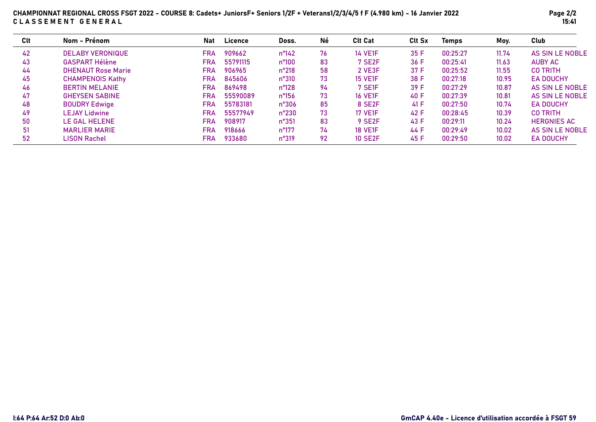| Clt | Nom - Prénom              | <b>Nat</b> | Licence  | Doss.          | Né | <b>Clt Cat</b>      | <b>Clt Sx</b> | <b>Temps</b> | Moy.  | Club               |
|-----|---------------------------|------------|----------|----------------|----|---------------------|---------------|--------------|-------|--------------------|
| 42  | <b>DELABY VERONIQUE</b>   | <b>FRA</b> | 909662   | $n^{\circ}142$ | 76 | <b>14 VE1F</b>      | 35 F          | 00:25:27     | 11.74 | AS SIN LE NOBLE    |
| 43  | <b>GASPART Hélène</b>     | <b>FRA</b> | 55791115 | $n^{\circ}100$ | 83 | 7 SE <sub>2</sub> F | 36 F          | 00:25:41     | 11.63 | <b>AUBY AC</b>     |
| 44  | <b>DHENAUT Rose Marie</b> | <b>FRA</b> | 906965   | $n^{\circ}218$ | 58 | 2 VE3F              | 37 F          | 00:25:52     | 11.55 | <b>CO TRITH</b>    |
| 45  | <b>CHAMPENOIS Kathy</b>   | <b>FRA</b> | 845606   | $n^{\circ}310$ | 73 | <b>15 VE1F</b>      | 38 F          | 00:27:18     | 10.95 | <b>EA DOUCHY</b>   |
| 46  | <b>BERTIN MELANIE</b>     | <b>FRA</b> | 869498   | $n^{\circ}128$ | 94 | 7 SE1F              | 39 F          | 00:27:29     | 10.87 | AS SIN LE NOBLE    |
| 47  | <b>GHEYSEN SABINE</b>     | <b>FRA</b> | 55590089 | $n^{\circ}156$ | 73 | <b>16 VE1F</b>      | 40 F          | 00:27:39     | 10.81 | AS SIN LE NOBLE    |
| 48  | <b>BOUDRY Edwige</b>      | <b>FRA</b> | 55783181 | $n^{\circ}306$ | 85 | 8 SE2F              | 41 F          | 00:27:50     | 10.74 | <b>EA DOUCHY</b>   |
| 49  | <b>LEJAY Lidwine</b>      | <b>FRA</b> | 55577949 | $n^{\circ}230$ | 73 | <b>17 VE1F</b>      | 42 F          | 00:28:45     | 10.39 | <b>CO TRITH</b>    |
| 50  | <b>LE GAL HELENE</b>      | <b>FRA</b> | 908917   | $n^{\circ}351$ | 83 | 9 SE <sub>2</sub> F | 43 F          | 00:29:11     | 10.24 | <b>HERGNIES AC</b> |
| 51  | <b>MARLIER MARIE</b>      | <b>FRA</b> | 918666   | $n^{\circ}177$ | 74 | <b>18 VE1F</b>      | 44 F          | 00:29:49     | 10.02 | AS SIN LE NOBLE    |
| 52  | <b>LISON Rachel</b>       | FRA        | 933680   | $n^{\circ}319$ | 92 | <b>10 SE2F</b>      | 45 F          | 00:29:50     | 10.02 | <b>EA DOUCHY</b>   |

### CHAMPIONNAT REGIONAL CROSS FSGT 2022 - COURSE 8: Cadets+ JuniorsF+ Seniors 1/2F + Veterans1/2/3/4/5 f F (4.980 km) - 16 Janvier 2022 CLASSEMENT GENERAL